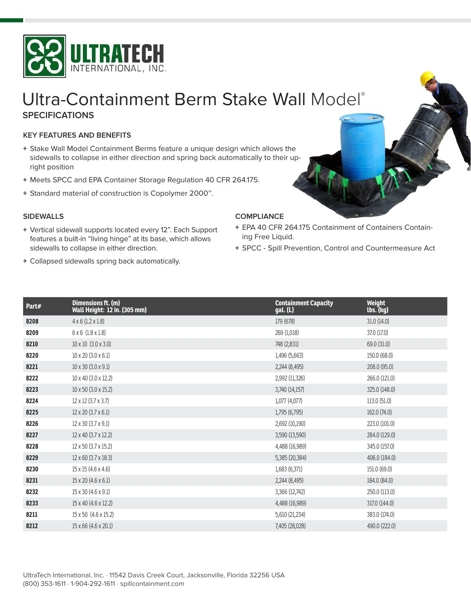

# **SPECIFICATIONS** Ultra-Containment Berm Stake Wall [Model](http://spillcontainment.com/spill-pallet-plus)®

## **KEY FEATURES AND BENEFITS**

- **+** Stake Wall Model Containment Berms feature a unique design which allows the sidewalls to collapse in either direction and spring back automatically to their upright position
- **+** Meets SPCC and EPA Container Storage Regulation 40 CFR 264.175.
- **+** Standard material of construction is Copolymer 2000™.

### **SIDEWALLS**

- **+** Vertical sidewall supports located every 12". Each Support features a built-in "living hinge" at its base, which allows sidewalls to collapse in either direction.
- **+** Collapsed sidewalls spring back automatically.

- **+** EPA 40 CFR 264.175 Containment of Containers Containing Free Liquid.
- **+** SPCC Spill Prevention, Control and Countermeasure Act

| Part# | Dimensions ft. (m)<br><b>Wall Height: 12 in. (305 mm)</b> | <b>Containment Capacity</b><br>gal. (L) | Weight<br>lbs. (kg) |
|-------|-----------------------------------------------------------|-----------------------------------------|---------------------|
| 8208  | $4 \times 6$ (1.2 $\times$ 1.8)                           | 179 (678)                               | 31.0(14.0)          |
| 8209  | $6 \times 6$ (1.8 $\times$ 1.8)                           | 269 (1,018)                             | 37.0 (17.0)         |
| 8210  | $10 \times 10$ (3.0 $\times$ 3.0)                         | 748 (2,831)                             | 69.0 (31.0)         |
| 8220  | $10 \times 20$ (3.0 $\times$ 6.1)                         | 1,496 (5,663)                           | 150.0 (68.0)        |
| 8221  | $10 \times 30 (3.0 \times 9.1)$                           | 2,244 (8,495)                           | 208.0 (95.0)        |
| 8222  | 10 x 40 (3.0 x 12.2)                                      | 2,992 (11,326)                          | 266.0 (121.0)       |
| 8223  | $10 \times 50$ (3.0 $\times$ 15.2)                        | 3,740 (14,157)                          | 325.0 (148.0)       |
| 8224  | $12 \times 12$ (3.7 $\times$ 3.7)                         | 1,077 (4,077)                           | 113.0(51.0)         |
| 8225  | $12 \times 20$ (3.7 $\times$ 6.1)                         | 1,795 (6,795)                           | 162.0 (74.0)        |
| 8226  | 12 x 30 (3.7 x 9.1)                                       | 2,692 (10,190)                          | 223.0 (101.0)       |
| 8227  | 12 x 40 (3.7 x 12.2)                                      | 3,590 (13,590)                          | 284.0 (129.0)       |
| 8228  | 12 x 50 (3.7 x 15.2)                                      | 4,488 (16,989)                          | 345.0 (157.0)       |
| 8229  | $12 \times 60$ (3.7 $\times$ 18.3)                        | 5,385 (20,384)                          | 406.0 (184.0)       |
| 8230  | 15 x 15 (4.6 x 4.6)                                       | 1,683 (6,371)                           | 151.0 (69.0)        |
| 8231  | 15 x 20 (4.6 x 6.1)                                       | 2,244 (8,495)                           | 184.0 (84.0)        |
| 8232  | 15 x 30 (4.6 x 9.1)                                       | 3,366 (12,742)                          | 250.0 (113.0)       |
| 8233  | 15 x 40 (4.6 x 12.2)                                      | 4,488 (16,989)                          | 317.0 (144.0)       |
| 8211  | 15 x 50 (4.6 x 15.2)                                      | 5,610 (21,234)                          | 383.0 (174.0)       |
| 8212  | 15 x 66 (4.6 x 20.1)                                      | 7,405 (28,028)                          | 490.0 (222.0)       |